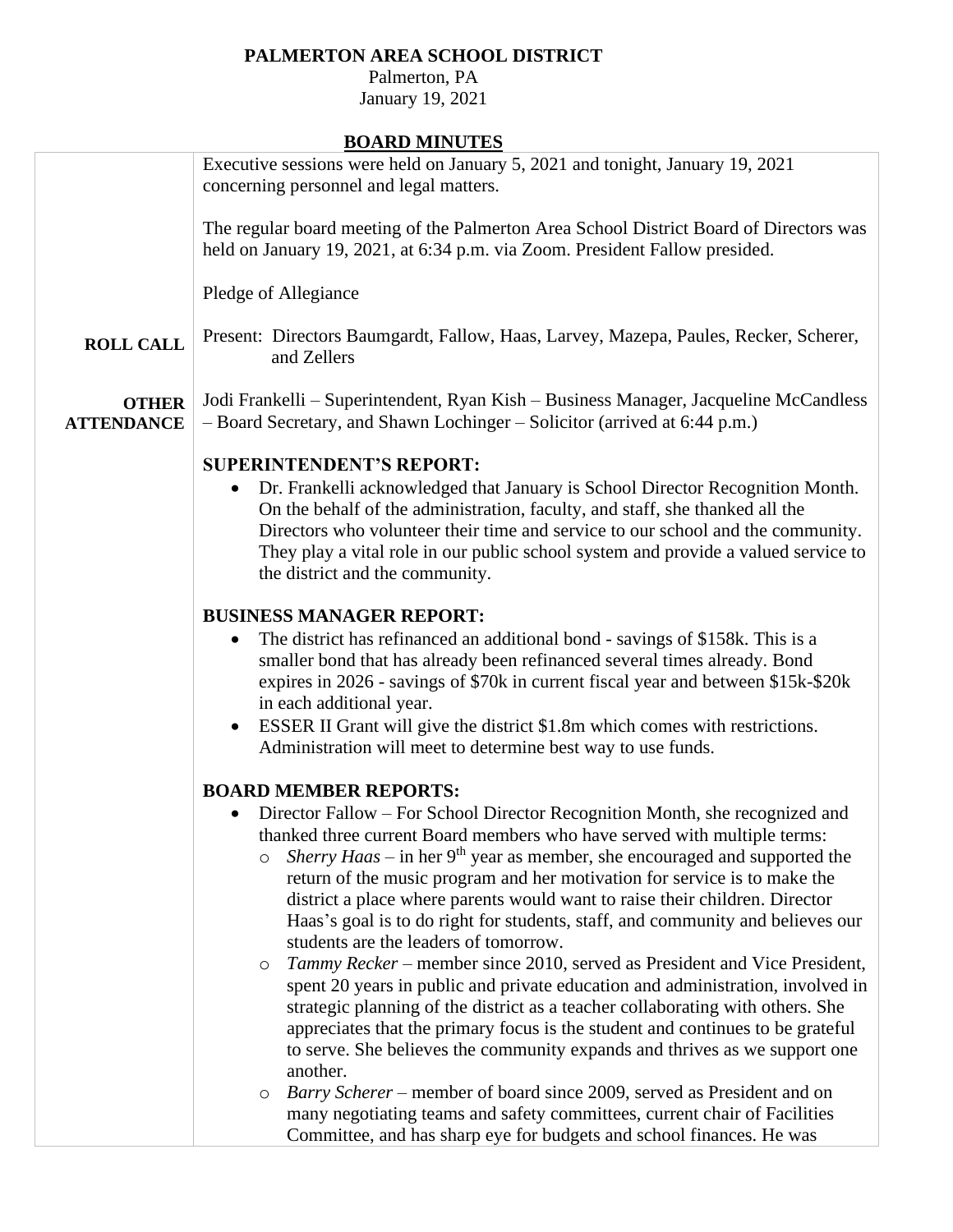## **PALMERTON AREA SCHOOL DISTRICT**

Palmerton, PA January 19, 2021

**BOARD MINUTES**

|                                   | BOAKD MINUTES                                                                                                                                                                                                                                                                                                                                                                                                                                                                                                                                                                                                                                                                                                                                                                                                                                                                                                                                                                                                                                                                                                                                                                                                                                                         |
|-----------------------------------|-----------------------------------------------------------------------------------------------------------------------------------------------------------------------------------------------------------------------------------------------------------------------------------------------------------------------------------------------------------------------------------------------------------------------------------------------------------------------------------------------------------------------------------------------------------------------------------------------------------------------------------------------------------------------------------------------------------------------------------------------------------------------------------------------------------------------------------------------------------------------------------------------------------------------------------------------------------------------------------------------------------------------------------------------------------------------------------------------------------------------------------------------------------------------------------------------------------------------------------------------------------------------|
|                                   | Executive sessions were held on January 5, 2021 and tonight, January 19, 2021<br>concerning personnel and legal matters.                                                                                                                                                                                                                                                                                                                                                                                                                                                                                                                                                                                                                                                                                                                                                                                                                                                                                                                                                                                                                                                                                                                                              |
|                                   | The regular board meeting of the Palmerton Area School District Board of Directors was<br>held on January 19, 2021, at 6:34 p.m. via Zoom. President Fallow presided.                                                                                                                                                                                                                                                                                                                                                                                                                                                                                                                                                                                                                                                                                                                                                                                                                                                                                                                                                                                                                                                                                                 |
|                                   | Pledge of Allegiance                                                                                                                                                                                                                                                                                                                                                                                                                                                                                                                                                                                                                                                                                                                                                                                                                                                                                                                                                                                                                                                                                                                                                                                                                                                  |
| <b>ROLL CALL</b>                  | Present: Directors Baumgardt, Fallow, Haas, Larvey, Mazepa, Paules, Recker, Scherer,<br>and Zellers                                                                                                                                                                                                                                                                                                                                                                                                                                                                                                                                                                                                                                                                                                                                                                                                                                                                                                                                                                                                                                                                                                                                                                   |
| <b>OTHER</b><br><b>ATTENDANCE</b> | Jodi Frankelli – Superintendent, Ryan Kish – Business Manager, Jacqueline McCandless<br>- Board Secretary, and Shawn Lochinger - Solicitor (arrived at 6:44 p.m.)                                                                                                                                                                                                                                                                                                                                                                                                                                                                                                                                                                                                                                                                                                                                                                                                                                                                                                                                                                                                                                                                                                     |
|                                   | <b>SUPERINTENDENT'S REPORT:</b><br>Dr. Frankelli acknowledged that January is School Director Recognition Month.<br>On the behalf of the administration, faculty, and staff, she thanked all the<br>Directors who volunteer their time and service to our school and the community.<br>They play a vital role in our public school system and provide a valued service to<br>the district and the community.                                                                                                                                                                                                                                                                                                                                                                                                                                                                                                                                                                                                                                                                                                                                                                                                                                                          |
|                                   | <b>BUSINESS MANAGER REPORT:</b><br>The district has refinanced an additional bond - savings of \$158k. This is a<br>$\bullet$<br>smaller bond that has already been refinanced several times already. Bond<br>expires in 2026 - savings of \$70k in current fiscal year and between \$15k-\$20k<br>in each additional year.<br>ESSER II Grant will give the district \$1.8m which comes with restrictions.<br>Administration will meet to determine best way to use funds.                                                                                                                                                                                                                                                                                                                                                                                                                                                                                                                                                                                                                                                                                                                                                                                            |
|                                   | <b>BOARD MEMBER REPORTS:</b><br>Director Fallow – For School Director Recognition Month, she recognized and<br>thanked three current Board members who have served with multiple terms:<br><i>Sherry Haas</i> – in her 9 <sup>th</sup> year as member, she encouraged and supported the<br>$\circ$<br>return of the music program and her motivation for service is to make the<br>district a place where parents would want to raise their children. Director<br>Haas's goal is to do right for students, staff, and community and believes our<br>students are the leaders of tomorrow.<br>Tammy Recker – member since 2010, served as President and Vice President,<br>O<br>spent 20 years in public and private education and administration, involved in<br>strategic planning of the district as a teacher collaborating with others. She<br>appreciates that the primary focus is the student and continues to be grateful<br>to serve. She believes the community expands and thrives as we support one<br>another.<br>Barry Scherer – member of board since 2009, served as President and on<br>$\circ$<br>many negotiating teams and safety committees, current chair of Facilities<br>Committee, and has sharp eye for budgets and school finances. He was |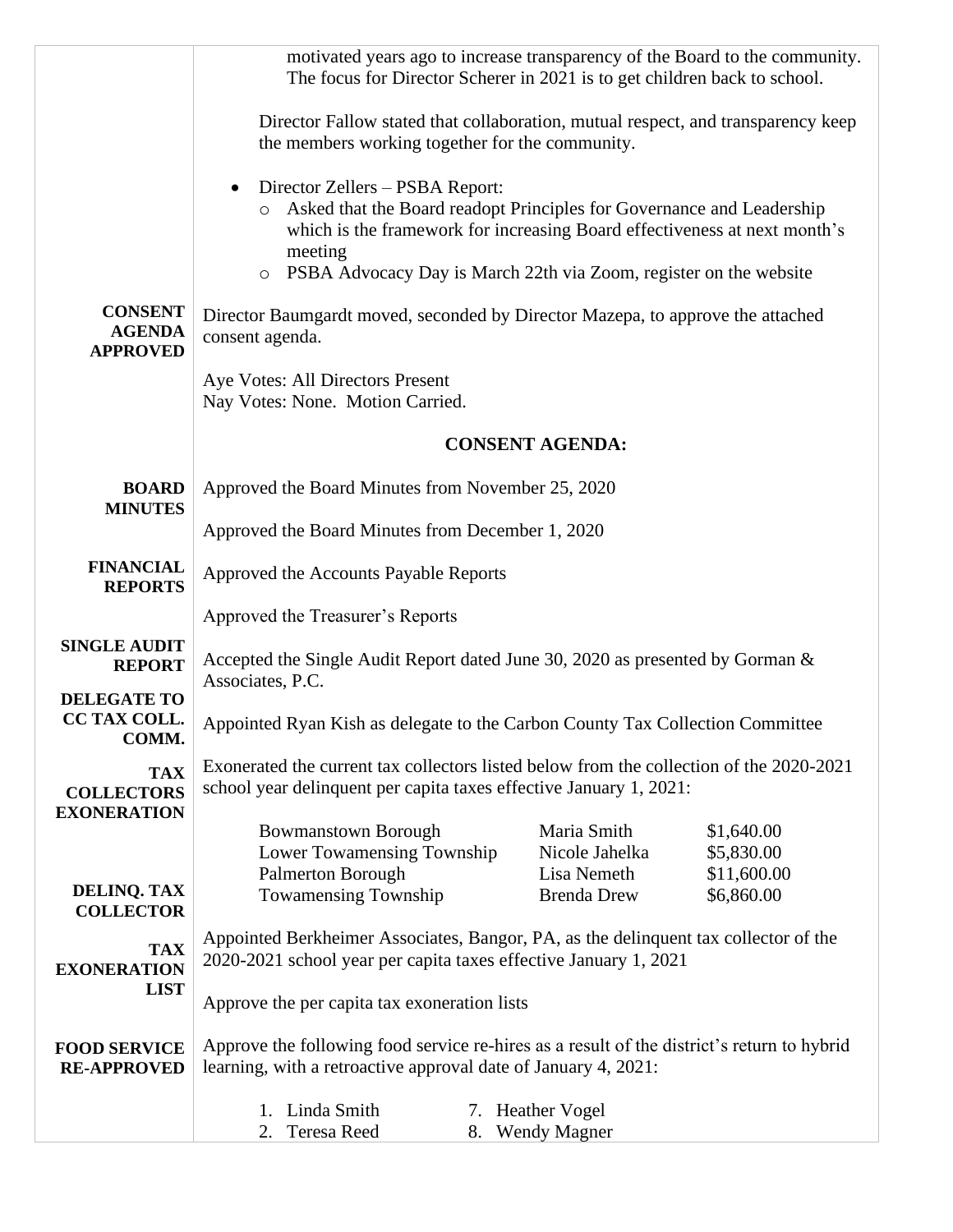|                                                       | motivated years ago to increase transparency of the Board to the community.<br>The focus for Director Scherer in 2021 is to get children back to school.      |  |                                                                                                                                                                                                                         |                                                       |
|-------------------------------------------------------|---------------------------------------------------------------------------------------------------------------------------------------------------------------|--|-------------------------------------------------------------------------------------------------------------------------------------------------------------------------------------------------------------------------|-------------------------------------------------------|
|                                                       | Director Fallow stated that collaboration, mutual respect, and transparency keep<br>the members working together for the community.                           |  |                                                                                                                                                                                                                         |                                                       |
|                                                       | Director Zellers – PSBA Report:<br>O<br>meeting<br>$\circ$                                                                                                    |  | Asked that the Board readopt Principles for Governance and Leadership<br>which is the framework for increasing Board effectiveness at next month's<br>PSBA Advocacy Day is March 22th via Zoom, register on the website |                                                       |
| <b>CONSENT</b><br><b>AGENDA</b><br><b>APPROVED</b>    | Director Baumgardt moved, seconded by Director Mazepa, to approve the attached<br>consent agenda.                                                             |  |                                                                                                                                                                                                                         |                                                       |
|                                                       | Aye Votes: All Directors Present<br>Nay Votes: None. Motion Carried.                                                                                          |  |                                                                                                                                                                                                                         |                                                       |
|                                                       |                                                                                                                                                               |  | <b>CONSENT AGENDA:</b>                                                                                                                                                                                                  |                                                       |
| <b>BOARD</b><br><b>MINUTES</b>                        | Approved the Board Minutes from November 25, 2020                                                                                                             |  |                                                                                                                                                                                                                         |                                                       |
|                                                       | Approved the Board Minutes from December 1, 2020                                                                                                              |  |                                                                                                                                                                                                                         |                                                       |
| <b>FINANCIAL</b><br><b>REPORTS</b>                    | Approved the Accounts Payable Reports                                                                                                                         |  |                                                                                                                                                                                                                         |                                                       |
|                                                       | Approved the Treasurer's Reports                                                                                                                              |  |                                                                                                                                                                                                                         |                                                       |
| <b>SINGLE AUDIT</b><br><b>REPORT</b>                  | Accepted the Single Audit Report dated June 30, 2020 as presented by Gorman &<br>Associates, P.C.                                                             |  |                                                                                                                                                                                                                         |                                                       |
| <b>DELEGATE TO</b><br>CC TAX COLL.<br>COMM.           | Appointed Ryan Kish as delegate to the Carbon County Tax Collection Committee                                                                                 |  |                                                                                                                                                                                                                         |                                                       |
| <b>TAX</b><br><b>COLLECTORS</b><br><b>EXONERATION</b> | Exonerated the current tax collectors listed below from the collection of the 2020-2021<br>school year delinquent per capita taxes effective January 1, 2021: |  |                                                                                                                                                                                                                         |                                                       |
| <b>DELINQ. TAX</b><br><b>COLLECTOR</b>                | <b>Bowmanstown Borough</b><br>Lower Towamensing Township<br>Palmerton Borough<br><b>Towamensing Township</b>                                                  |  | Maria Smith<br>Nicole Jahelka<br>Lisa Nemeth<br><b>Brenda Drew</b>                                                                                                                                                      | \$1,640.00<br>\$5,830.00<br>\$11,600.00<br>\$6,860.00 |
| <b>TAX</b><br><b>EXONERATION</b>                      | Appointed Berkheimer Associates, Bangor, PA, as the delinquent tax collector of the<br>2020-2021 school year per capita taxes effective January 1, 2021       |  |                                                                                                                                                                                                                         |                                                       |
| <b>LIST</b>                                           | Approve the per capita tax exoneration lists                                                                                                                  |  |                                                                                                                                                                                                                         |                                                       |
| <b>FOOD SERVICE</b><br><b>RE-APPROVED</b>             | Approve the following food service re-hires as a result of the district's return to hybrid<br>learning, with a retroactive approval date of January 4, 2021:  |  |                                                                                                                                                                                                                         |                                                       |
|                                                       | 1. Linda Smith<br>Teresa Reed<br>2.                                                                                                                           |  | 7. Heather Vogel<br>8. Wendy Magner                                                                                                                                                                                     |                                                       |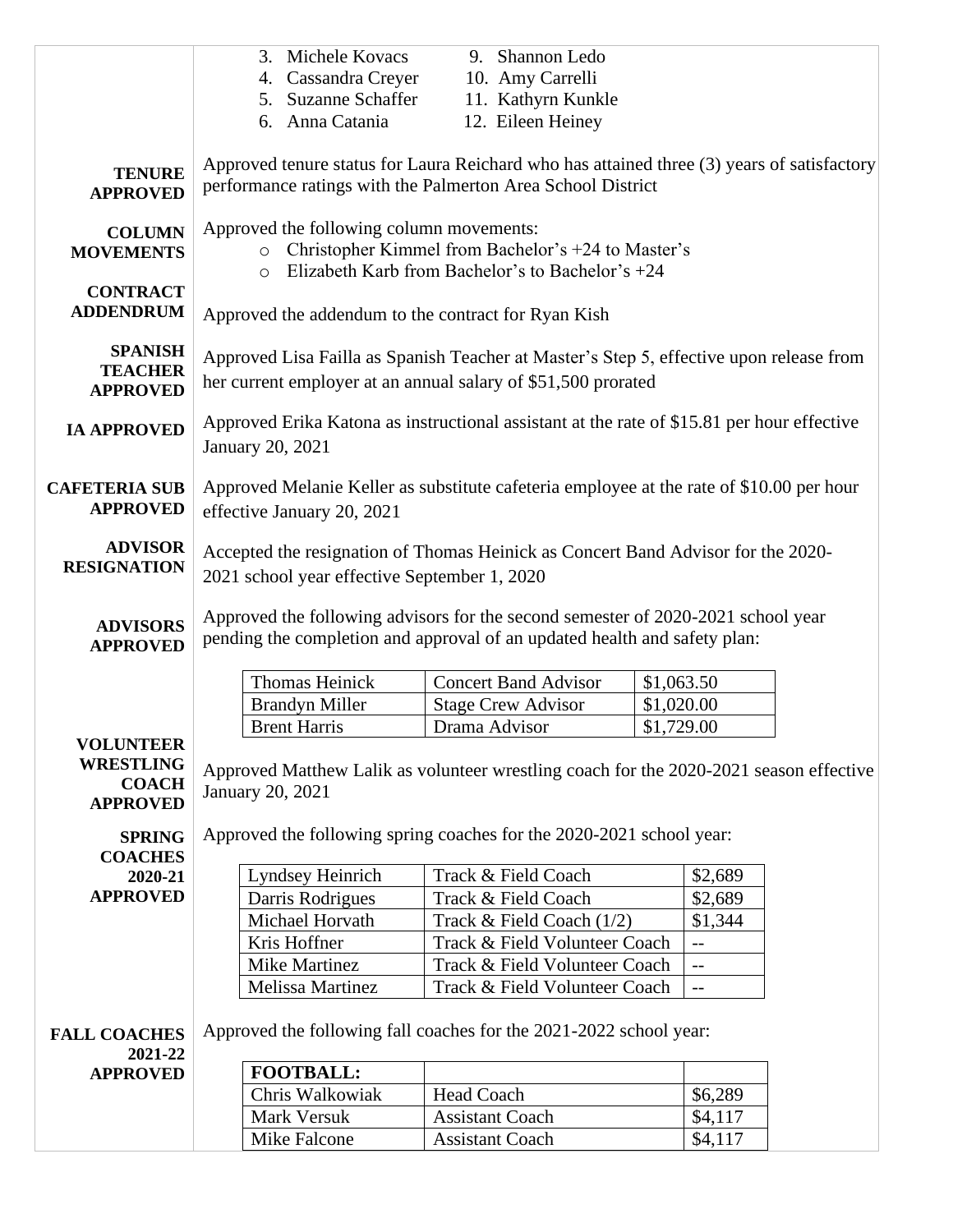|                                                                         | 3. Michele Kovacs<br>4. Cassandra Creyer<br>5. Suzanne Schaffer<br>6. Anna Catania                                                                                | 9. Shannon Ledo<br>10. Amy Carrelli<br>11. Kathyrn Kunkle<br>12. Eileen Heiney   |                          |  |
|-------------------------------------------------------------------------|-------------------------------------------------------------------------------------------------------------------------------------------------------------------|----------------------------------------------------------------------------------|--------------------------|--|
|                                                                         |                                                                                                                                                                   |                                                                                  |                          |  |
| <b>TENURE</b><br><b>APPROVED</b>                                        | Approved tenure status for Laura Reichard who has attained three (3) years of satisfactory<br>performance ratings with the Palmerton Area School District         |                                                                                  |                          |  |
| <b>COLUMN</b><br><b>MOVEMENTS</b>                                       | Approved the following column movements:<br>o Christopher Kimmel from Bachelor's +24 to Master's<br>Elizabeth Karb from Bachelor's to Bachelor's $+24$<br>$\circ$ |                                                                                  |                          |  |
| <b>CONTRACT</b><br><b>ADDENDRUM</b>                                     | Approved the addendum to the contract for Ryan Kish                                                                                                               |                                                                                  |                          |  |
| <b>SPANISH</b><br><b>TEACHER</b><br><b>APPROVED</b>                     | Approved Lisa Failla as Spanish Teacher at Master's Step 5, effective upon release from<br>her current employer at an annual salary of \$51,500 prorated          |                                                                                  |                          |  |
| <b>IA APPROVED</b>                                                      | Approved Erika Katona as instructional assistant at the rate of \$15.81 per hour effective<br>January 20, 2021                                                    |                                                                                  |                          |  |
| <b>CAFETERIA SUB</b><br><b>APPROVED</b>                                 | Approved Melanie Keller as substitute cafeteria employee at the rate of \$10.00 per hour<br>effective January 20, 2021                                            |                                                                                  |                          |  |
| <b>ADVISOR</b><br><b>RESIGNATION</b>                                    | Accepted the resignation of Thomas Heinick as Concert Band Advisor for the 2020-<br>2021 school year effective September 1, 2020                                  |                                                                                  |                          |  |
| <b>ADVISORS</b><br><b>APPROVED</b>                                      | pending the completion and approval of an updated health and safety plan:                                                                                         | Approved the following advisors for the second semester of 2020-2021 school year |                          |  |
|                                                                         | <b>Thomas Heinick</b>                                                                                                                                             | <b>Concert Band Advisor</b>                                                      | \$1,063.50               |  |
|                                                                         | <b>Brandyn Miller</b>                                                                                                                                             | <b>Stage Crew Advisor</b>                                                        | \$1,020.00               |  |
|                                                                         | <b>Brent Harris</b>                                                                                                                                               | Drama Advisor                                                                    | \$1,729.00               |  |
| <b>VOLUNTEER</b><br><b>WRESTLING</b><br><b>COACH</b><br><b>APPROVED</b> | Approved Matthew Lalik as volunteer wrestling coach for the 2020-2021 season effective<br><b>January 20, 2021</b>                                                 |                                                                                  |                          |  |
| <b>SPRING</b>                                                           | Approved the following spring coaches for the 2020-2021 school year:                                                                                              |                                                                                  |                          |  |
| <b>COACHES</b><br>2020-21                                               | Lyndsey Heinrich                                                                                                                                                  | Track & Field Coach                                                              | \$2,689                  |  |
| <b>APPROVED</b>                                                         | Darris Rodrigues                                                                                                                                                  | Track & Field Coach                                                              | \$2,689                  |  |
|                                                                         | Michael Horvath                                                                                                                                                   | Track & Field Coach (1/2)                                                        | \$1,344                  |  |
|                                                                         | Kris Hoffner                                                                                                                                                      | Track & Field Volunteer Coach                                                    | $-$                      |  |
|                                                                         | Mike Martinez                                                                                                                                                     | Track & Field Volunteer Coach                                                    | $- -$                    |  |
|                                                                         | Melissa Martinez                                                                                                                                                  | Track & Field Volunteer Coach                                                    | $\overline{\phantom{a}}$ |  |
| <b>FALL COACHES</b>                                                     | Approved the following fall coaches for the 2021-2022 school year:                                                                                                |                                                                                  |                          |  |
| 2021-22<br><b>APPROVED</b>                                              | <b>FOOTBALL:</b>                                                                                                                                                  |                                                                                  |                          |  |
|                                                                         | Chris Walkowiak                                                                                                                                                   | <b>Head Coach</b>                                                                | \$6,289                  |  |
|                                                                         | Mark Versuk                                                                                                                                                       | <b>Assistant Coach</b>                                                           | \$4,117                  |  |
|                                                                         | Mike Falcone                                                                                                                                                      | <b>Assistant Coach</b>                                                           | \$4,117                  |  |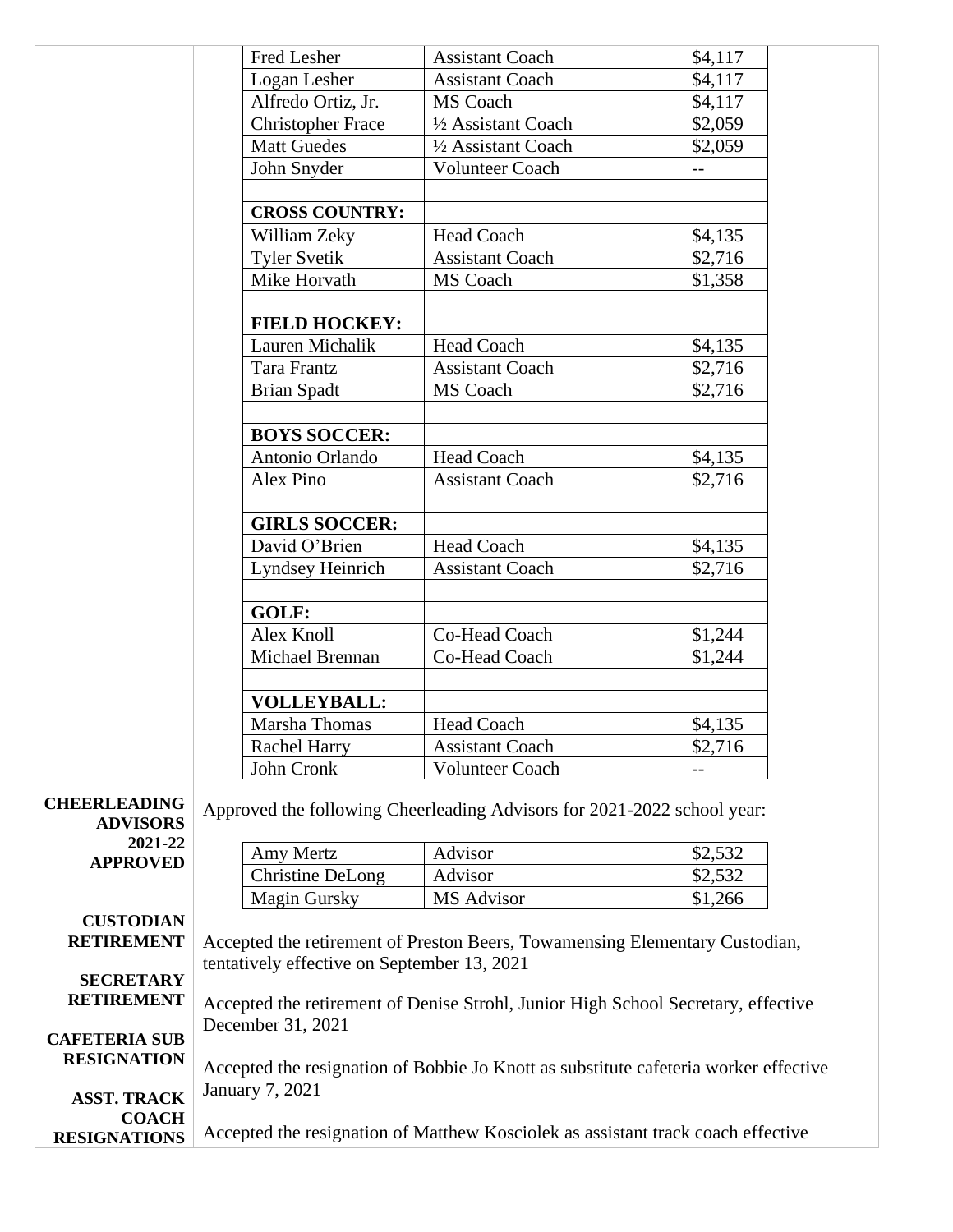|                                            | Fred Lesher                                                                      | <b>Assistant Coach</b>                                                               | \$4,117                  |  |
|--------------------------------------------|----------------------------------------------------------------------------------|--------------------------------------------------------------------------------------|--------------------------|--|
|                                            | Logan Lesher                                                                     | <b>Assistant Coach</b>                                                               | \$4,117                  |  |
|                                            | Alfredo Ortiz, Jr.                                                               | MS Coach                                                                             | \$4,117                  |  |
|                                            | <b>Christopher Frace</b>                                                         | 1/2 Assistant Coach                                                                  | \$2,059                  |  |
|                                            | <b>Matt Guedes</b>                                                               | 1/2 Assistant Coach                                                                  | \$2,059                  |  |
|                                            | John Snyder                                                                      | <b>Volunteer Coach</b>                                                               | $\overline{\phantom{a}}$ |  |
|                                            |                                                                                  |                                                                                      |                          |  |
|                                            | <b>CROSS COUNTRY:</b>                                                            |                                                                                      |                          |  |
|                                            | William Zeky                                                                     | Head Coach                                                                           | \$4,135                  |  |
|                                            | <b>Tyler Svetik</b>                                                              | <b>Assistant Coach</b>                                                               | \$2,716                  |  |
|                                            | Mike Horvath                                                                     | MS Coach                                                                             | \$1,358                  |  |
|                                            | <b>FIELD HOCKEY:</b>                                                             |                                                                                      |                          |  |
|                                            | Lauren Michalik                                                                  | <b>Head Coach</b>                                                                    | \$4,135                  |  |
|                                            | Tara Frantz                                                                      | <b>Assistant Coach</b>                                                               | \$2,716                  |  |
|                                            | <b>Brian Spadt</b>                                                               | MS Coach                                                                             | \$2,716                  |  |
|                                            |                                                                                  |                                                                                      |                          |  |
|                                            | <b>BOYS SOCCER:</b>                                                              |                                                                                      |                          |  |
|                                            | Antonio Orlando                                                                  | <b>Head Coach</b>                                                                    | \$4,135                  |  |
|                                            | Alex Pino                                                                        | <b>Assistant Coach</b>                                                               | \$2,716                  |  |
|                                            |                                                                                  |                                                                                      |                          |  |
|                                            | <b>GIRLS SOCCER:</b>                                                             |                                                                                      |                          |  |
|                                            | David O'Brien                                                                    | <b>Head Coach</b>                                                                    | \$4,135                  |  |
|                                            | Lyndsey Heinrich                                                                 | <b>Assistant Coach</b>                                                               | \$2,716                  |  |
|                                            | GOLF:                                                                            |                                                                                      |                          |  |
|                                            | Alex Knoll                                                                       | Co-Head Coach                                                                        | \$1,244                  |  |
|                                            | Michael Brennan                                                                  | Co-Head Coach                                                                        | \$1,244                  |  |
|                                            |                                                                                  |                                                                                      |                          |  |
|                                            | <b>VOLLEYBALL:</b>                                                               |                                                                                      |                          |  |
|                                            | Marsha Thomas                                                                    | Head Coach                                                                           | \$4,135                  |  |
|                                            | Rachel Harry                                                                     | <b>Assistant Coach</b>                                                               | \$2,716                  |  |
|                                            | John Cronk                                                                       | <b>Volunteer Coach</b>                                                               | $-$                      |  |
| <b>CHEERLEADING</b><br><b>ADVISORS</b>     |                                                                                  | Approved the following Cheerleading Advisors for 2021-2022 school year:              |                          |  |
| 2021-22                                    | Amy Mertz                                                                        | Advisor                                                                              | \$2,532                  |  |
| <b>APPROVED</b>                            | <b>Christine DeLong</b>                                                          | Advisor                                                                              | \$2,532                  |  |
|                                            | <b>Magin Gursky</b>                                                              | MS Advisor                                                                           | \$1,266                  |  |
| <b>CUSTODIAN</b>                           |                                                                                  |                                                                                      |                          |  |
| <b>RETIREMENT</b>                          |                                                                                  | Accepted the retirement of Preston Beers, Towamensing Elementary Custodian,          |                          |  |
|                                            | tentatively effective on September 13, 2021                                      |                                                                                      |                          |  |
| <b>SECRETARY</b>                           |                                                                                  |                                                                                      |                          |  |
| <b>RETIREMENT</b>                          |                                                                                  | Accepted the retirement of Denise Strohl, Junior High School Secretary, effective    |                          |  |
|                                            | December 31, 2021                                                                |                                                                                      |                          |  |
| <b>CAFETERIA SUB</b><br><b>RESIGNATION</b> |                                                                                  |                                                                                      |                          |  |
|                                            |                                                                                  | Accepted the resignation of Bobbie Jo Knott as substitute cafeteria worker effective |                          |  |
| <b>ASST. TRACK</b>                         | <b>January 7, 2021</b>                                                           |                                                                                      |                          |  |
| <b>COACH</b><br><b>RESIGNATIONS</b>        | Accepted the resignation of Matthew Kosciolek as assistant track coach effective |                                                                                      |                          |  |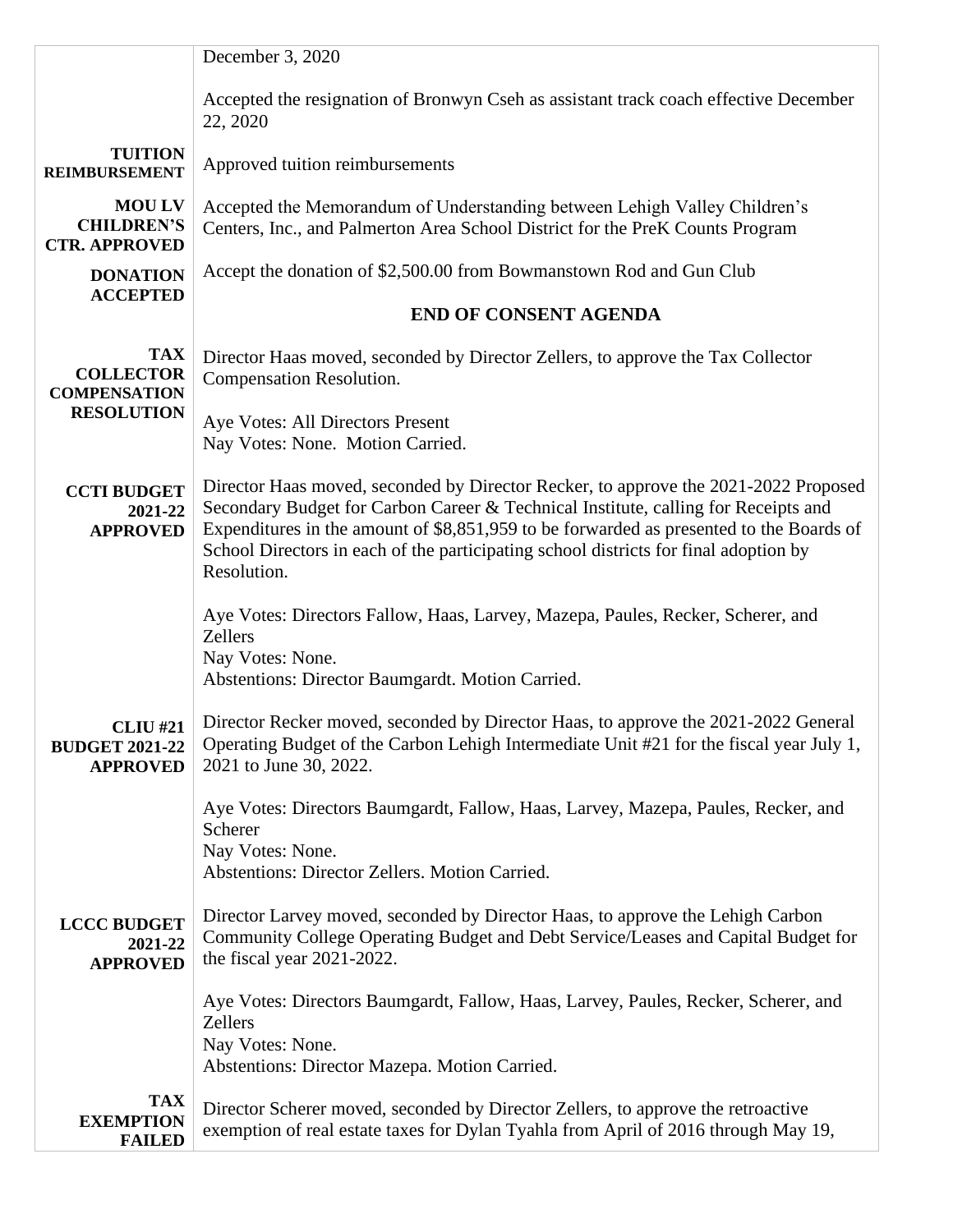|                                                             | December 3, 2020                                                                                                                                                                                                                                                                                                                                                            |  |  |
|-------------------------------------------------------------|-----------------------------------------------------------------------------------------------------------------------------------------------------------------------------------------------------------------------------------------------------------------------------------------------------------------------------------------------------------------------------|--|--|
|                                                             | Accepted the resignation of Bronwyn Cseh as assistant track coach effective December<br>22, 2020                                                                                                                                                                                                                                                                            |  |  |
| <b>TUITION</b><br><b>REIMBURSEMENT</b>                      | Approved tuition reimbursements                                                                                                                                                                                                                                                                                                                                             |  |  |
| <b>MOU LV</b><br><b>CHILDREN'S</b><br><b>CTR. APPROVED</b>  | Accepted the Memorandum of Understanding between Lehigh Valley Children's<br>Centers, Inc., and Palmerton Area School District for the PreK Counts Program                                                                                                                                                                                                                  |  |  |
| <b>DONATION</b><br><b>ACCEPTED</b>                          | Accept the donation of \$2,500.00 from Bowmanstown Rod and Gun Club                                                                                                                                                                                                                                                                                                         |  |  |
|                                                             | <b>END OF CONSENT AGENDA</b>                                                                                                                                                                                                                                                                                                                                                |  |  |
| <b>TAX</b><br><b>COLLECTOR</b><br><b>COMPENSATION</b>       | Director Haas moved, seconded by Director Zellers, to approve the Tax Collector<br>Compensation Resolution.                                                                                                                                                                                                                                                                 |  |  |
| <b>RESOLUTION</b>                                           | Aye Votes: All Directors Present<br>Nay Votes: None. Motion Carried.                                                                                                                                                                                                                                                                                                        |  |  |
| <b>CCTI BUDGET</b><br>2021-22<br><b>APPROVED</b>            | Director Haas moved, seconded by Director Recker, to approve the 2021-2022 Proposed<br>Secondary Budget for Carbon Career & Technical Institute, calling for Receipts and<br>Expenditures in the amount of \$8,851,959 to be forwarded as presented to the Boards of<br>School Directors in each of the participating school districts for final adoption by<br>Resolution. |  |  |
|                                                             | Aye Votes: Directors Fallow, Haas, Larvey, Mazepa, Paules, Recker, Scherer, and<br>Zellers<br>Nay Votes: None.<br>Abstentions: Director Baumgardt. Motion Carried.                                                                                                                                                                                                          |  |  |
| <b>CLIU #21</b><br><b>BUDGET 2021-22</b><br><b>APPROVED</b> | Director Recker moved, seconded by Director Haas, to approve the 2021-2022 General<br>Operating Budget of the Carbon Lehigh Intermediate Unit #21 for the fiscal year July 1,<br>2021 to June 30, 2022.                                                                                                                                                                     |  |  |
|                                                             | Aye Votes: Directors Baumgardt, Fallow, Haas, Larvey, Mazepa, Paules, Recker, and<br>Scherer<br>Nay Votes: None.<br>Abstentions: Director Zellers. Motion Carried.                                                                                                                                                                                                          |  |  |
| <b>LCCC BUDGET</b><br>2021-22<br><b>APPROVED</b>            | Director Larvey moved, seconded by Director Haas, to approve the Lehigh Carbon<br>Community College Operating Budget and Debt Service/Leases and Capital Budget for<br>the fiscal year 2021-2022.                                                                                                                                                                           |  |  |
|                                                             | Aye Votes: Directors Baumgardt, Fallow, Haas, Larvey, Paules, Recker, Scherer, and<br>Zellers<br>Nay Votes: None.<br>Abstentions: Director Mazepa. Motion Carried.                                                                                                                                                                                                          |  |  |
| <b>TAX</b><br><b>EXEMPTION</b><br><b>FAILED</b>             | Director Scherer moved, seconded by Director Zellers, to approve the retroactive<br>exemption of real estate taxes for Dylan Tyahla from April of 2016 through May 19,                                                                                                                                                                                                      |  |  |